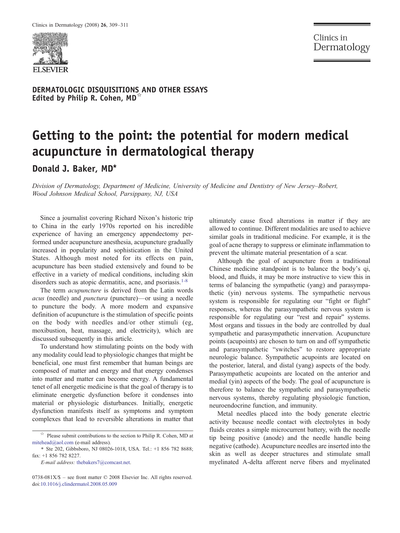

Clinics in Dermatology

DERMATOLOGIC DISQUISITIONS AND OTHER ESSAYS Edited by Philip R. Cohen, MD<sup> $\overline{a}$ </sup>

## Getting to the point: the potential for modern medical acupuncture in dermatological therapy

Donald J. Baker, MD<sup>\*</sup>

Division of Dermatology, Department of Medicine, University of Medicine and Dentistry of New Jersey*–*Robert, Wood Johnson Medical School, Parsippany, NJ, USA

Since a journalist covering Richard Nixon's historic trip to China in the early 1970s reported on his incredible experience of having an emergency appendectomy performed under acupuncture anesthesia, acupuncture gradually increased in popularity and sophistication in the United States. Although most noted for its effects on pain, acupuncture has been studied extensively and found to be effective in a variety of medical conditions, including skin disorders such as atopic dermatitis, acne, and psoriasis.<sup>[1-8](#page-2-0)</sup>

The term *acupuncture* is derived from the Latin words acus (needle) and punctura (puncture)—or using a needle to puncture the body. A more modern and expansive definition of acupuncture is the stimulation of specific points on the body with needles and/or other stimuli (eg, moxibustion, heat, massage, and electricity), which are discussed subsequently in this article.

To understand how stimulating points on the body with any modality could lead to physiologic changes that might be beneficial, one must first remember that human beings are composed of matter and energy and that energy condenses into matter and matter can become energy. A fundamental tenet of all energetic medicine is that the goal of therapy is to eliminate energetic dysfunction before it condenses into material or physiologic disturbances. Initially, energetic dysfunction manifests itself as symptoms and symptom complexes that lead to reversible alterations in matter that

E-mail address: [thebakers7@comcast.net.](mailto:thebakers7@comcast.net)

ultimately cause fixed alterations in matter if they are allowed to continue. Different modalities are used to achieve similar goals in traditional medicine. For example, it is the goal of acne therapy to suppress or eliminate inflammation to prevent the ultimate material presentation of a scar.

Although the goal of acupuncture from a traditional Chinese medicine standpoint is to balance the body's qi, blood, and fluids, it may be more instructive to view this in terms of balancing the sympathetic (yang) and parasympathetic (yin) nervous systems. The sympathetic nervous system is responsible for regulating our "fight or flight" responses, whereas the parasympathetic nervous system is responsible for regulating our "rest and repair" systems. Most organs and tissues in the body are controlled by dual sympathetic and parasympathetic innervation. Acupuncture points (acupoints) are chosen to turn on and off sympathetic and parasympathetic "switches" to restore appropriate neurologic balance. Sympathetic acupoints are located on the posterior, lateral, and distal (yang) aspects of the body. Parasympathetic acupoints are located on the anterior and medial (yin) aspects of the body. The goal of acupuncture is therefore to balance the sympathetic and parasympathetic nervous systems, thereby regulating physiologic function, neuroendocrine function, and immunity.

Metal needles placed into the body generate electric activity because needle contact with electrolytes in body fluids creates a simple microcurrent battery, with the needle tip being positive (anode) and the needle handle being negative (cathode). Acupuncture needles are inserted into the skin as well as deeper structures and stimulate small myelinated A-delta afferent nerve fibers and myelinated

 $\overrightarrow{r}$  Please submit contributions to the section to Philip R. Cohen, MD at mitehead@aol.com (e-mail address).

<sup>⁎</sup> Ste 202, Gibbsboro, NJ 08026-1018, USA. Tel.: +1 856 782 8688; fax: +1 856 782 8227.

<sup>0738-081</sup>X/\$ – see front matter © 2008 Elsevier Inc. All rights reserved. doi[:10.1016/j.clindermatol.2008.05.009](http://dx.doi.org/10.1016/j.clindermatol.2008.05.009)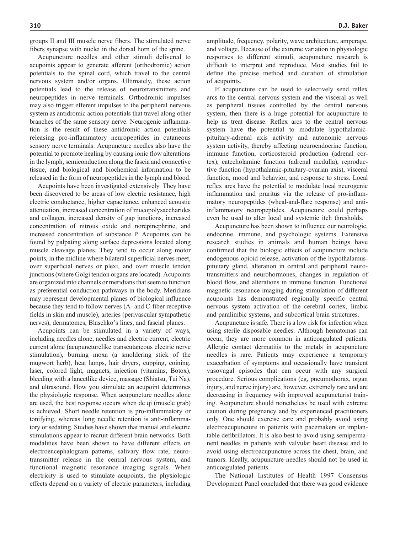groups II and III muscle nerve fibers. The stimulated nerve fibers synapse with nuclei in the dorsal horn of the spine.

Acupuncture needles and other stimuli delivered to acupoints appear to generate afferent (orthodromic) action potentials to the spinal cord, which travel to the central nervous system and/or organs. Ultimately, these action potentials lead to the release of neurotransmitters and neuropeptides in nerve terminals. Orthodromic impulses may also trigger efferent impulses to the peripheral nervous system as antidromic action potentials that travel along other branches of the same sensory nerve. Neurogenic inflammation is the result of these antidromic action potentials releasing pro-inflammatory neuropeptides in cutaneous sensory nerve terminals. Acupuncture needles also have the potential to promote healing by causing ionic flow alterations in the lymph, semiconduction along the fascia and connective tissue, and biological and biochemical information to be released in the form of neuropeptides in the lymph and blood.

Acupoints have been investigated extensively. They have been discovered to be areas of low electric resistance, high electric conductance, higher capacitance, enhanced acoustic attenuation, increased concentration of mucopolysaccharides and collagen, increased density of gap junctions, increased concentration of nitrous oxide and norepinephrine, and increased concentration of substance P. Acupoints can be found by palpating along surface depressions located along muscle cleavage planes. They tend to occur along motor points, in the midline where bilateral superficial nerves meet, over superficial nerves or plexi, and over muscle tendon junctions (where Golgi tendon organs are located). Acupoints are organized into channels or meridians that seem to function as preferential conduction pathways in the body. Meridians may represent developmental planes of biological influence because they tend to follow nerves (A- and C-fiber receptive fields in skin and muscle), arteries (perivascular sympathetic nerves), dermatomes, Blaschko's lines, and fascial planes.

Acupoints can be stimulated in a variety of ways, including needles alone, needles and electric current, electric current alone (acupuncturelike transcutaneous electric nerve stimulation), burning moxa (a smoldering stick of the mugwort herb), heat lamps, hair dryers, cupping, coining, laser, colored light, magnets, injection (vitamins, Botox), bleeding with a lancetlike device, massage (Shiatsu, Tui Na), and ultrasound. How you stimulate an acupoint determines the physiologic response. When acupuncture needles alone are used, the best response occurs when de qi (muscle grab) is achieved. Short needle retention is pro-inflammatory or tonifying, whereas long needle retention is anti-inflammatory or sedating. Studies have shown that manual and electric stimulations appear to recruit different brain networks. Both modalities have been shown to have different effects on electroencephalogram patterns, salivary flow rate, neurotransmitter release in the central nervous system, and functional magnetic resonance imaging signals. When electricity is used to stimulate acupoints, the physiologic effects depend on a variety of electric parameters, including

amplitude, frequency, polarity, wave architecture, amperage, and voltage. Because of the extreme variation in physiologic responses to different stimuli, acupuncture research is difficult to interpret and reproduce. Most studies fail to define the precise method and duration of stimulation of acupoints.

If acupuncture can be used to selectively send reflex arcs to the central nervous system and the visceral as well as peripheral tissues controlled by the central nervous system, then there is a huge potential for acupuncture to help us treat disease. Reflex arcs to the central nervous system have the potential to modulate hypothalamicpituitary-adrenal axis activity and autonomic nervous system activity, thereby affecting neuroendocrine function, immune function, corticosteroid production (adrenal cortex), catecholamine function (adrenal medulla), reproductive function (hypothalamic-pituitary-ovarian axis), visceral function, mood and behavior, and response to stress. Local reflex arcs have the potential to modulate local neurogenic inflammation and pruritus via the release of pro-inflammatory neuropeptides (wheal-and-flare response) and antiinflammatory neuropeptides. Acupuncture could perhaps even be used to alter local and systemic itch thresholds.

Acupuncture has been shown to influence our neurologic, endocrine, immune, and psychologic systems. Extensive research studies in animals and human beings have confirmed that the biologic effects of acupuncture include endogenous opioid release, activation of the hypothalamuspituitary gland, alteration in central and peripheral neurotransmitters and neurohormones, changes in regulation of blood flow, and alterations in immune function. Functional magnetic resonance imaging during stimulation of different acupoints has demonstrated regionally specific central nervous system activation of the cerebral cortex, limbic and paralimbic systems, and subcortical brain structures.

Acupuncture is safe. There is a low risk for infection when using sterile disposable needles. Although hematomas can occur, they are more common in anticoagulated patients. Allergic contact dermatitis to the metals in acupuncture needles is rare. Patients may experience a temporary exacerbation of symptoms and occasionally have transient vasovagal episodes that can occur with any surgical procedure. Serious complications (eg, pneumothorax, organ injury, and nerve injury) are, however, extremely rare and are decreasing in frequency with improved acupuncturist training. Acupuncture should nonetheless be used with extreme caution during pregnancy and by experienced practitioners only. One should exercise care and probably avoid using electroacupuncture in patients with pacemakers or implantable defibrillators. It is also best to avoid using semipermanent needles in patients with valvular heart disease and to avoid using electroacupuncture across the chest, brain, and tumors. Ideally, acupuncture needles should not be used in anticoagulated patients.

The National Institutes of Health 1997 Consensus Development Panel concluded that there was good evidence